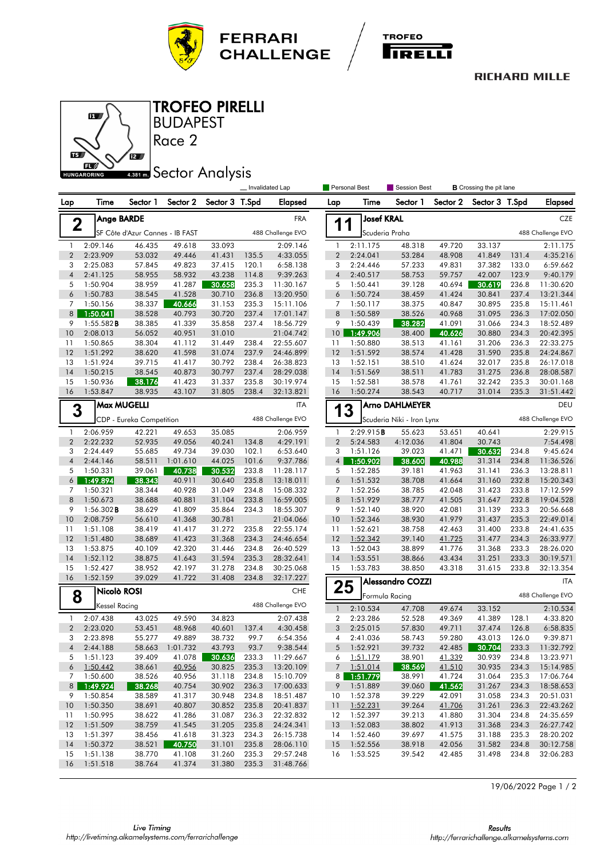



## **RICHARD MILLE**



BUDAPEST TROFEO PIRELLI

## **ABB1 mm** Sector Analysis

Race 2

|                                          |                                  |                                 |                    |                  | Invalidated Lap |                                                              |                     | Personal Best                       | Session Best            |                  | <b>B</b> Crossing the pit lane |                   |                        |  |  |
|------------------------------------------|----------------------------------|---------------------------------|--------------------|------------------|-----------------|--------------------------------------------------------------|---------------------|-------------------------------------|-------------------------|------------------|--------------------------------|-------------------|------------------------|--|--|
| Lap                                      | Time                             | Sector 1                        | Sector 2           | Sector 3 T.Spd   |                 | <b>Elapsed</b>                                               | Lap                 | Time                                | Sector 1                | Sector 2         | Sector 3 T.Spd                 |                   | <b>Elapsed</b>         |  |  |
|                                          | <b>Ange BARDE</b><br>$\mathbf 2$ |                                 |                    |                  |                 | <b>Josef KRAL</b><br><b>FRA</b><br>1<br>$\blacktriangleleft$ |                     |                                     |                         |                  |                                | CZE               |                        |  |  |
|                                          |                                  | SF Côte d'Azur Cannes - IB FAST |                    |                  |                 | 488 Challenge EVO                                            |                     | Scuderia Praha                      |                         |                  |                                | 488 Challenge EVO |                        |  |  |
| $\mathbf{1}$                             | 2:09.146                         | 46.435                          | 49.618             | 33.093           |                 | 2:09.146                                                     | 1                   | 2:11.175                            | 48.318                  | 49.720           | 33.137                         |                   | 2:11.175               |  |  |
| $\overline{2}$                           | 2:23.909                         | 53.032                          | 49.446             | 41.431           | 135.5           | 4:33.055                                                     | $\sqrt{2}$          | 2:24.041                            | 53.284                  | 48.908           | 41.849                         | 131.4             | 4:35.216               |  |  |
| 3                                        | 2:25.083                         | 57.845                          | 49.823             | 37.415           | 120.1           | 6:58.138                                                     | 3                   | 2:24.446                            | 57.233                  | 49.831           | 37.382                         | 133.0             | 6:59.662               |  |  |
| $\overline{4}$                           | 2:41.125                         | 58.955                          | 58.932             | 43.238           | 114.8           | 9:39.263                                                     | $\overline{4}$      | 2:40.517                            | 58.753                  | 59.757           | 42.007                         | 123.9             | 9:40.179               |  |  |
| 5                                        | 1:50.904                         | 38.959                          | 41.287             | 30.658           | 235.3           | 11:30.167                                                    | 5                   | 1:50.441                            | 39.128                  | 40.694           | 30.619                         | 236.8             | 11:30.620              |  |  |
| 6                                        | 1:50.783                         | 38.545                          | 41.528             | 30.710           | 236.8           | 13:20.950                                                    | 6                   | 1:50.724                            | 38.459                  | 41.424           | 30.841                         | 237.4             | 13:21.344              |  |  |
| 7                                        | 1:50.156                         | 38.337                          | 40.666             | 31.153           | 235.3           | 15:11.106                                                    | 7                   | 1:50.117                            | 38.375                  | 40.847           | 30.895                         | 235.8             | 15:11.461              |  |  |
| 8                                        | 1:50.041                         | 38.528                          | 40.793             | 30.720           | 237.4           | 17:01.147                                                    | 8                   | 1:50.589                            | 38.526                  | 40.968           | 31.095                         | 236.3             | 17:02.050              |  |  |
| 9<br>10                                  | 1:55.582B<br>2:08.013            | 38.385<br>56.052                | 41.339<br>40.951   | 35.858<br>31.010 | 237.4           | 18:56.729<br>21:04.742                                       | 9<br>10             | 1:50.439<br>1:49.906                | 38.282<br>38.400        | 41.091<br>40.626 | 31.066<br>30.880               | 234.3<br>234.3    | 18:52.489<br>20:42.395 |  |  |
| 11                                       | 1:50.865                         | 38.304                          | 41.112             | 31.449           | 238.4           | 22:55.607                                                    | 11                  | 1:50.880                            | 38.513                  | 41.161           | 31.206                         | 236.3             | 22:33.275              |  |  |
| 12                                       | 1:51.292                         | 38.620                          | 41.598             | 31.074           | 237.9           | 24:46.899                                                    | 12                  | 1:51.592                            | 38.574                  | 41.428           | 31.590                         | 235.8             | 24:24.867              |  |  |
| 13                                       | 1:51.924                         | 39.715                          | 41.417             | 30.792           | 238.4           | 26:38.823                                                    | 13                  | 1:52.151                            | 38.510                  | 41.624           | 32.017                         | 235.8             | 26:17.018              |  |  |
| 14                                       | 1:50.215                         | 38.545                          | 40.873             | 30.797           | 237.4           | 28:29.038                                                    | 14                  | 1:51.569                            | 38.511                  | 41.783           | 31.275                         | 236.8             | 28:08.587              |  |  |
| 15                                       | 1:50.936                         | 38.176                          | 41.423             | 31.337           | 235.8           | 30:19.974                                                    | 15                  | 1:52.581                            | 38.578                  | 41.761           | 32.242                         | 235.3             | 30:01.168              |  |  |
| 16                                       | 1:53.847                         | 38.935                          | 43.107             | 31.805           | 238.4           | 32:13.821                                                    | 16                  | 1:50.274                            | 38.543                  | 40.717           | 31.014                         | 235.3             | 31:51.442              |  |  |
|                                          |                                  | <b>Max MUGELLI</b>              |                    |                  |                 | <b>ITA</b>                                                   |                     |                                     | Arno DAHLMEYER          |                  |                                |                   | DEU                    |  |  |
| 3                                        |                                  | CDP - Eureka Competition        |                    |                  |                 | 488 Challenge EVO                                            |                     | 3<br>1<br>Scuderia Niki - Iron Lynx |                         |                  | 488 Challenge EVO              |                   |                        |  |  |
|                                          |                                  |                                 |                    |                  |                 |                                                              |                     |                                     |                         |                  |                                |                   |                        |  |  |
| 1<br>$\overline{2}$                      | 2:06.959<br>2:22.232             | 42.221                          | 49.653             | 35.085           |                 | 2:06.959                                                     | 1<br>$\overline{c}$ | 2:29.915B                           | 55.623                  | 53.651           | 40.641                         |                   | 2:29.915               |  |  |
| 3                                        | 2:24.449                         | 52.935<br>55.685                | 49.056<br>49.734   | 40.241<br>39.030 | 134.8<br>102.1  | 4:29.191<br>6:53.640                                         | 3                   | 5:24.583<br>1:51.126                | 4:12.036<br>39.023      | 41.804<br>41.471 | 30.743<br>30.632               | 234.8             | 7:54.498<br>9:45.624   |  |  |
| $\overline{4}$                           | 2:44.146                         | 58.511                          | 1:01.610           | 44.025           | 101.6           | 9:37.786                                                     | $\overline{4}$      | 1:50.902                            | 38.600                  | 40.988           | 31.314                         | 234.8             | 11:36.526              |  |  |
| 5                                        | 1:50.331                         | 39.061                          | 40.738             | 30.532           | 233.8           | 11:28.117                                                    | 5                   | 1:52.285                            | 39.181                  | 41.963           | 31.141                         | 236.3             | 13:28.811              |  |  |
| 6                                        | 1:49.894                         | 38.343                          | 40.911             | 30.640           | 235.8           | 13:18.011                                                    | 6                   | 1:51.532                            | 38.708                  | 41.664           | 31.160                         | 232.8             | 15:20.343              |  |  |
| 7                                        | 1:50.321                         | 38.344                          | 40.928             | 31.049           | 234.8           | 15:08.332                                                    | 7                   | 1:52.256                            | 38.785                  | 42.048           | 31.423                         | 233.8             | 17:12.599              |  |  |
| 8                                        | 1:50.673                         | 38.688                          | 40.881             | 31.104           | 233.8           | 16:59.005                                                    | 8                   | 1:51.929                            | 38.777                  | 41.505           | 31.647                         | 232.8             | 19:04.528              |  |  |
| 9                                        | $1:56.302$ <b>B</b>              | 38.629                          | 41.809             | 35.864           | 234.3           | 18:55.307                                                    | 9                   | 1:52.140                            | 38.920                  | 42.081           | 31.139                         | 233.3             | 20:56.668              |  |  |
| 10                                       | 2:08.759                         | 56.610                          | 41.368             | 30.781           |                 | 21:04.066                                                    | 10                  | 1:52.346                            | 38.930                  | 41.979           | 31.437                         | 235.3             | 22:49.014              |  |  |
| 11                                       | 1:51.108                         | 38.419                          | 41.417             | 31.272           | 235.8           | 22:55.174                                                    | 11                  | 1:52.621                            | 38.758                  | 42.463           | 31.400                         | 233.8             | 24:41.635              |  |  |
| 12                                       | 1:51.480                         | 38.689                          | 41.423             | 31.368           | 234.3           | 24:46.654                                                    | 12                  | 1:52.342                            | 39.140                  | 41.725           | 31.477                         | 234.3             | 26:33.977              |  |  |
| 13<br>14                                 | 1:53.875                         | 40.109<br>38.875                | 42.320<br>41.643   | 31.446<br>31.594 | 234.8<br>235.3  | 26:40.529                                                    | 13<br>14            | 1:52.043<br>1:53.551                | 38.899<br>38.866        | 41.776           | 31.368<br>31.251               | 233.3<br>233.3    | 28:26.020              |  |  |
| 15                                       | 1:52.112<br>1:52.427             | 38.952                          | 42.197             | 31.278           | 234.8           | 28:32.641<br>30:25.068                                       | 15                  | 1:53.783                            | 38.850                  | 43.434<br>43.318 | 31.615                         | 233.8             | 30:19.571<br>32:13.354 |  |  |
| 16                                       | 1:52.159                         | 39.029                          | 41.722             | 31.408           | 234.8           | 32:17.227                                                    |                     |                                     |                         |                  |                                |                   |                        |  |  |
|                                          |                                  |                                 |                    |                  |                 | <b>CHE</b>                                                   | 25                  |                                     | <b>Alessandro COZZI</b> |                  |                                |                   | <b>ITA</b>             |  |  |
| Nicolò ROSI<br>8<br><b>Kessel Racing</b> |                                  |                                 |                    |                  |                 |                                                              | Formula Racing      |                                     |                         |                  | 488 Challenge EVO              |                   |                        |  |  |
|                                          |                                  |                                 |                    |                  |                 | 488 Challenge EVO                                            | $\mathbf{1}$        | 2:10.534                            | 47.708                  | 49.674           | 33.152                         |                   | 2:10.534               |  |  |
| $\mathbf{1}$                             | 2:07.438                         | 43.025                          | 49.590             | 34.823           |                 | 2:07.438                                                     | 2                   | 2:23.286                            | 52.528                  | 49.369           | 41.389                         | 128.1             | 4:33.820               |  |  |
| $\overline{2}$<br>3                      | 2:23.020<br>2:23.898             | 53.451                          | 48.968             | 40.601           | 137.4           | 4:30.458                                                     | 3                   | 2:25.015                            | 57.830                  | 49.711           | 37.474                         | 126.8             | 6:58.835               |  |  |
| 4                                        | 2:44.188                         | 55.277<br>58.663                | 49.889<br>1:01.732 | 38.732<br>43.793 | 99.7<br>93.7    | 6:54.356<br>9:38.544                                         | 4                   | 2:41.036<br>5 1:52.921              | 58.743<br>39.732        | 59.280<br>42.485 | 43.013<br>30.704               | 126.0<br>233.3    | 9:39.871<br>11:32.792  |  |  |
| 5                                        | 1:51.123                         | 39.409                          | 41.078             | 30.636           | 233.3           | 11:29.667                                                    | 6                   | 1:51.179                            | 38.901                  | 41.339           | 30.939                         | 234.8             | 13:23.971              |  |  |
| 6                                        | 1:50.442                         | 38.661                          | 40.956             | 30.825           | 235.3           | 13:20.109                                                    |                     | $7$ 1:51.014                        | 38.569                  | 41.510           | 30.935                         | 234.3             | 15:14.985              |  |  |
| 7                                        | 1:50.600                         | 38.526                          | 40.956             | 31.118           | 234.8           | 15:10.709                                                    | 8                   | 1:51.779                            | 38.991                  | 41.724           | 31.064                         | 235.3             | 17:06.764              |  |  |
| 8 <sup>1</sup>                           | 1:49.924                         | 38.268                          | 40.754             | 30.902           | 236.3           | 17:00.633                                                    | 9                   | 1:51.889                            | 39.060                  | 41.562           | 31.267                         | 234.3             | 18:58.653              |  |  |
| 9                                        | 1:50.854                         | 38.589                          | 41.317             | 30.948           | 234.8           | 18:51.487                                                    | 10                  | 1:52.378                            | 39.229                  | 42.091           | 31.058                         | 234.3             | 20:51.031              |  |  |
| 10                                       | 1:50.350                         | 38.691                          | 40.807             | 30.852           | 235.8           | 20:41.837                                                    | $\overline{11}$     | 1:52.231                            | 39.264                  | 41.706           | 31.261                         | 236.3             | 22:43.262              |  |  |
| 11                                       | 1:50.995                         | 38.622                          | 41.286             | 31.087           | 236.3           | 22:32.832                                                    | 12                  | 1:52.397                            | 39.213                  | 41.880           | 31.304                         | 234.8             | 24:35.659              |  |  |
| 12                                       | 1:51.509                         | 38.759                          | 41.545             | 31.205           | 235.8           | 24:24.341                                                    | 13                  | 1:52.083                            | 38.802                  | 41.913           | 31.368                         | 234.3             | 26:27.742              |  |  |
| 13                                       | 1:51.397                         | 38.456                          | 41.618             | 31.323           | 234.3           | 26:15.738                                                    | 14                  | 1:52.460                            | 39.697                  | 41.575           | 31.188                         | 235.3             | 28:20.202              |  |  |
| 14                                       | 1:50.372                         | 38.521                          | 40.750             | 31.101           | 235.8           | 28:06.110                                                    | 15                  | 1:52.556                            | 38.918                  | 42.056           | 31.582                         | 234.8             | 30:12.758              |  |  |
| 15                                       | 1:51.138                         | 38.770                          | 41.108             | 31.260           | 235.3           | 29:57.248                                                    | 16                  | 1:53.525                            | 39.542                  | 42.485           | 31.498                         | 234.8             | 32:06.283              |  |  |
| 16                                       | 1:51.518                         | 38.764                          | 41.374             | 31.380           | 235.3           | 31:48.766                                                    |                     |                                     |                         |                  |                                |                   |                        |  |  |

19/06/2022 Page 1 / 2